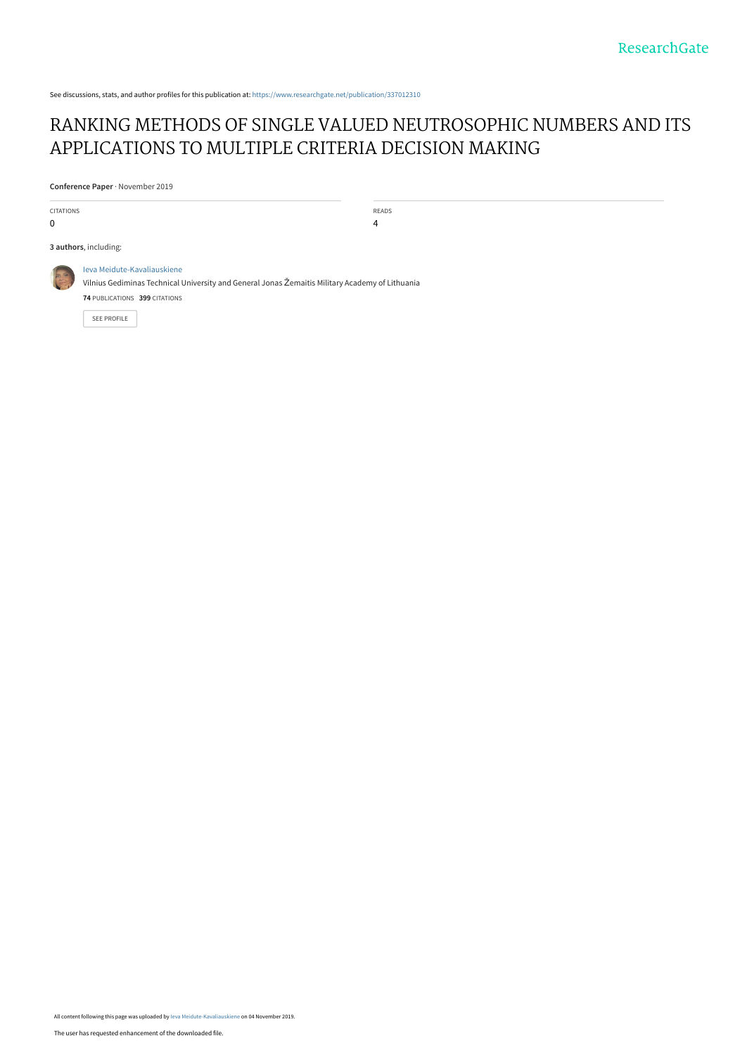See discussions, stats, and author profiles for this publication at: [https://www.researchgate.net/publication/337012310](https://www.researchgate.net/publication/337012310_RANKING_METHODS_OF_SINGLE_VALUED_NEUTROSOPHIC_NUMBERS_AND_ITS_APPLICATIONS_TO_MULTIPLE_CRITERIA_DECISION_MAKING?enrichId=rgreq-a5d37e5cd661d2add7711d4295225cec-XXX&enrichSource=Y292ZXJQYWdlOzMzNzAxMjMxMDtBUzo4MjE1OTM0Mzc2NTA5NDVAMTU3Mjg5NDU0ODg1NQ%3D%3D&el=1_x_2&_esc=publicationCoverPdf)

# [RANKING METHODS OF SINGLE VALUED NEUTROSOPHIC NUMBERS AND ITS](https://www.researchgate.net/publication/337012310_RANKING_METHODS_OF_SINGLE_VALUED_NEUTROSOPHIC_NUMBERS_AND_ITS_APPLICATIONS_TO_MULTIPLE_CRITERIA_DECISION_MAKING?enrichId=rgreq-a5d37e5cd661d2add7711d4295225cec-XXX&enrichSource=Y292ZXJQYWdlOzMzNzAxMjMxMDtBUzo4MjE1OTM0Mzc2NTA5NDVAMTU3Mjg5NDU0ODg1NQ%3D%3D&el=1_x_3&_esc=publicationCoverPdf) APPLICATIONS TO MULTIPLE CRITERIA DECISION MAKING

**Conference Paper** · November 2019

| <b>CITATIONS</b><br>0 |                                                                                                                                                                                | READS<br>4 |
|-----------------------|--------------------------------------------------------------------------------------------------------------------------------------------------------------------------------|------------|
|                       | 3 authors, including:                                                                                                                                                          |            |
| <b>PASS</b>           | Ieva Meidute-Kavaliauskiene<br>Vilnius Gediminas Technical University and General Jonas Žemaitis Military Academy of Lithuania<br>74 PUBLICATIONS 399 CITATIONS<br>SEE PROFILE |            |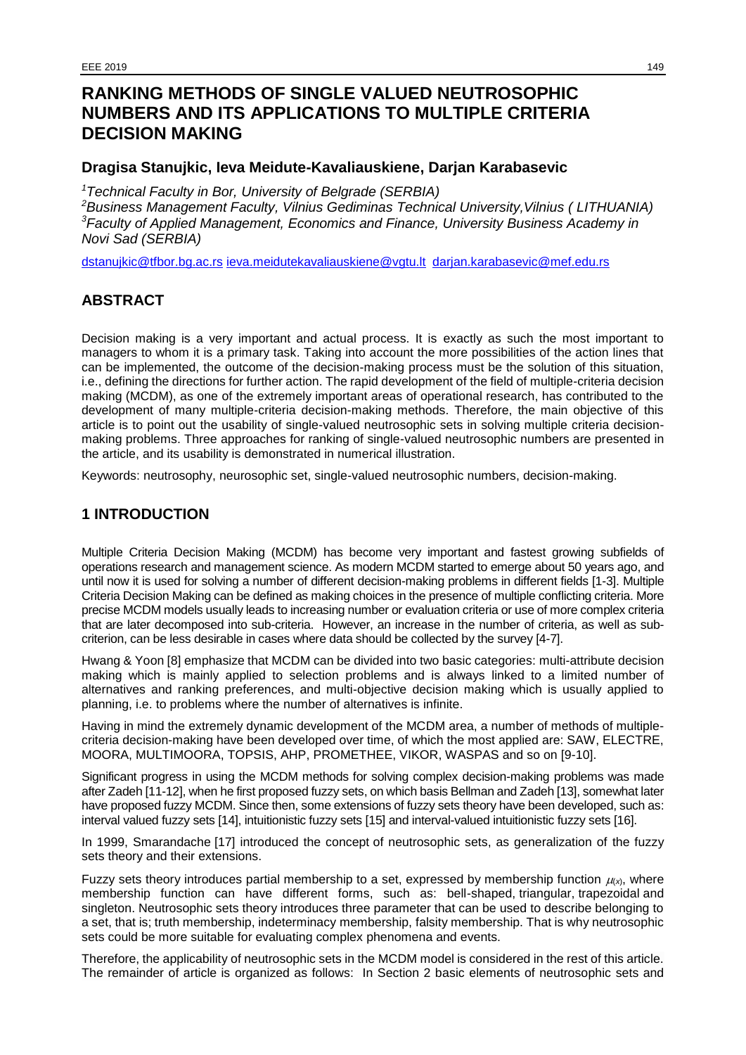# **RANKING METHODS OF SINGLE VALUED NEUTROSOPHIC NUMBERS AND ITS APPLICATIONS TO MULTIPLE CRITERIA DECISION MAKING**

## **Dragisa Stanujkic, Ieva Meidute-Kavaliauskiene, Darjan Karabasevic**

*<sup>1</sup>Technical Faculty in Bor, University of Belgrade (SERBIA)*

*<sup>2</sup>Business Management Faculty, Vilnius Gediminas Technical University,Vilnius ( LITHUANIA) <sup>3</sup>Faculty of Applied Management, Economics and Finance, University Business Academy in Novi Sad (SERBIA)*

[dstanujkic@tfbor.bg.ac.rs](mailto:dstanujkic@tfbor.bg.ac.rs) [ieva.meidutekavaliauskiene@vgtu.lt](mailto:ieva.meidutekavaliauskiene@vgtu.lt) [darjan.karabasevic@mef.edu.rs](mailto:darjan.karabasevic@mef.edu.rs)

## **ABSTRACT**

Decision making is a very important and actual process. It is exactly as such the most important to managers to whom it is a primary task. Taking into account the more possibilities of the action lines that can be implemented, the outcome of the decision-making process must be the solution of this situation, i.e., defining the directions for further action. The rapid development of the field of multiple-criteria decision making (MCDM), as one of the extremely important areas of operational research, has contributed to the development of many multiple-criteria decision-making methods. Therefore, the main objective of this article is to point out the usability of single-valued neutrosophic sets in solving multiple criteria decisionmaking problems. Three approaches for ranking of single-valued neutrosophic numbers are presented in the article, and its usability is demonstrated in numerical illustration.

Keywords: neutrosophy, neurosophic set, single-valued neutrosophic numbers, decision-making.

## **1 INTRODUCTION**

Multiple Criteria Decision Making (MCDM) has become very important and fastest growing subfields of operations research and management science. As modern MCDM started to emerge about 50 years ago, and until now it is used for solving a number of different decision-making problems in different fields [1-3]. Multiple Criteria Decision Making can be defined as making choices in the presence of multiple conflicting criteria. More precise MCDM models usually leads to increasing number or evaluation criteria or use of more complex criteria that are later decomposed into sub-criteria. However, an increase in the number of criteria, as well as subcriterion, can be less desirable in cases where data should be collected by the survey [4-7].

Hwang & Yoon [8] emphasize that MCDM can be divided into two basic categories: multi-attribute decision making which is mainly applied to selection problems and is always linked to a limited number of alternatives and ranking preferences, and multi-objective decision making which is usually applied to planning, i.e. to problems where the number of alternatives is infinite.

Having in mind the extremely dynamic development of the MCDM area, a number of methods of multiplecriteria decision-making have been developed over time, of which the most applied are: SAW, ELECTRE, MOORA, MULTIMOORA, TOPSIS, AHP, PROMETHEE, VIKOR, WASPAS and so on [9-10].

Significant progress in using the MCDM methods for solving complex decision-making problems was made after Zadeh [11-12], when he first proposed fuzzy sets, on which basis Bellman and Zadeh [13], somewhat later have proposed fuzzy MCDM. Since then, some extensions of fuzzy sets theory have been developed, such as: interval valued fuzzy sets [14], intuitionistic fuzzy sets [15] and interval-valued intuitionistic fuzzy sets [16].

In 1999, Smarandache [17] introduced the concept of neutrosophic sets, as generalization of the fuzzy sets theory and their extensions.

Fuzzy sets theory introduces partial membership to a set, expressed by membership function  $\mu_{x}$ , where membership function can have different forms, such as: bell-shaped, triangular, trapezoidal and singleton. Neutrosophic sets theory introduces three parameter that can be used to describe belonging to a set, that is; truth membership, indeterminacy membership, falsity membership. That is why neutrosophic sets could be more suitable for evaluating complex phenomena and events.

Therefore, the applicability of neutrosophic sets in the MCDM model is considered in the rest of this article. The remainder of article is organized as follows: In Section 2 basic elements of neutrosophic sets and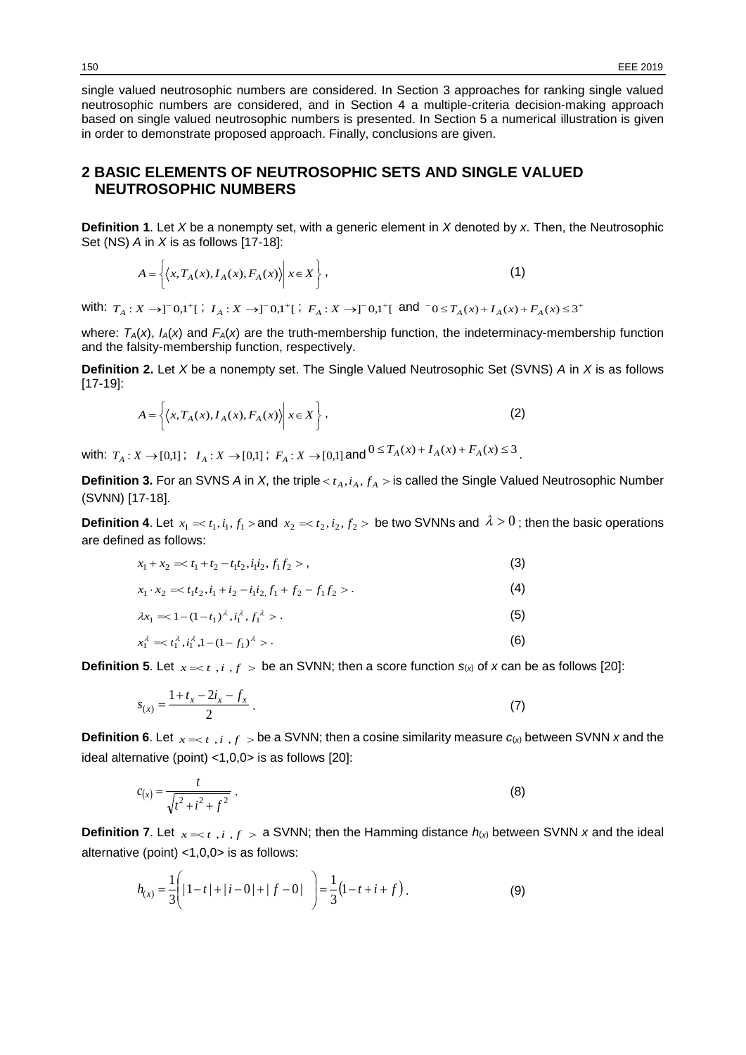single valued neutrosophic numbers are considered. In Section 3 approaches for ranking single valued neutrosophic numbers are considered, and in Section 4 a multiple-criteria decision-making approach based on single valued neutrosophic numbers is presented. In Section 5 a numerical illustration is given in order to demonstrate proposed approach. Finally, conclusions are given.

### **2 BASIC ELEMENTS OF NEUTROSOPHIC SETS AND SINGLE VALUED NEUTROSOPHIC NUMBERS**

**Definition 1**. Let *X* be a nonempty set, with a generic element in *X* denoted by *x*. Then, the Neutrosophic Set (NS) *A* in *X* is as follows [17-18]:

$$
A = \left\{ \left\langle x, T_A(x), I_A(x), F_A(x) \right\rangle \middle| \ x \in X \right\},\tag{1}
$$

with:  $T_A: X \to 0^- 0,1^+$ ;  $I_A: X \to 0^- 0,1^+$ ;  $F_A: X \to 0^- 0,1^+$ ; and  $0 \leq T_A(x) + I_A(x) + I_A(x) \leq 3^+$ 

where:  $T_A(x)$ ,  $I_A(x)$  and  $F_A(x)$  are the truth-membership function, the indeterminacy-membership function and the falsity-membership function, respectively.

**Definition 2.** Let *X* be a nonempty set. The Single Valued Neutrosophic Set (SVNS) *A* in *X* is as follows [17-19]:

$$
A = \left\{ \left\langle x, T_A(x), I_A(x), F_A(x) \right\rangle \middle| \ x \in X \right\},\tag{2}
$$

 $X \rightarrow [0,1]$ ;  $I_A: X \rightarrow [0,1]$ ;  $F_A: X \rightarrow [0,1]$  and  $0 \le T_A(x) + I_A(x) + F_A(x) \le 3$ .

**Definition 3.** For an SVNS *A* in *X*, the triple  $< t_A, i_A, f_A >$  is called the Single Valued Neutrosophic Number (SVNN) [17-18].

**Definition 4**. Let  $x_1 = t_1, i_1, f_1 >$  and  $x_2 = t_2, i_2, f_2 >$  be two SVNNs and  $\lambda > 0$ ; then the basic operations are defined as follows:

$$
x_1 + x_2 \approx t_1 + t_2 - t_1 t_2, i_1 i_2, f_1 f_2 > \tag{3}
$$

$$
x_1 \cdot x_2 \implies t_1 t_2, i_1 + i_2 - i_1 i_2, f_1 + f_2 - f_1 f_2 \geq 0 \tag{4}
$$

$$
\lambda x_1 = (1 - t_1)^{\lambda}, i_1^{\lambda}, f_1^{\lambda} > .
$$
\n(5)

$$
x_1^{\lambda} = \langle t_1^{\lambda}, t_1^{\lambda}, 1 - (1 - f_1)^{\lambda} \rangle. \tag{6}
$$

**Definition 5**. Let  $x = *t*$  ,  $i$  ,  $f >$  be an SVNN; then a score function  $s_{(x)}$  of  $x$  can be as follows [20]:

$$
s_{(x)} = \frac{1 + t_x - 2i_x - f_x}{2} \,. \tag{7}
$$

**Definition 6**. Let  $x = t$ , *i*,  $f >$  be a SVNN; then a cosine similarity measure  $c(x)$  between SVNN *x* and the ideal alternative (point) <1,0,0> is as follows [20]:

$$
c_{(x)} = \frac{t}{\sqrt{t^2 + i^2 + f^2}} \tag{8}
$$

**Definition 7**. Let  $x = < t$ , *i*,  $f > a$  SVNN; then the Hamming distance  $h(x)$  between SVNN *x* and the ideal alternative (point) <1,0,0> is as follows:

$$
h_{(x)} = \frac{1}{3} \left( |1 - t| + |i - 0| + |f - 0| \right) = \frac{1}{3} (1 - t + i + f).
$$
 (9)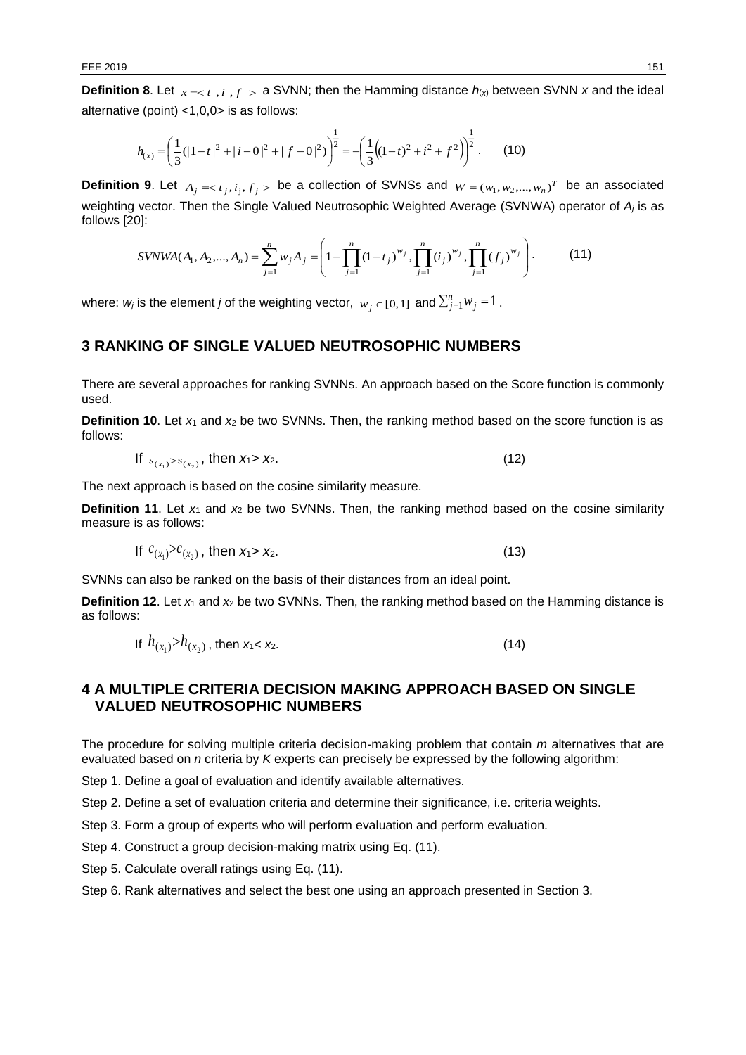**Definition 8**. Let  $x = < t$ , *i*,  $f > a$  SVNN; then the Hamming distance  $h(x)$  between SVNN *x* and the ideal alternative (point) <1,0,0> is as follows:

$$
h_{(x)} = \left(\frac{1}{3}(|1-t|^2 + |i-0|^2 + |f-0|^2)\right)^{\frac{1}{2}} = + \left(\frac{1}{3}((1-t)^2 + i^2 + f^2)\right)^{\frac{1}{2}}.
$$
 (10)

**Definition 9.** Let  $A_j = t_j, i_j, f_j >$  be a collection of SVNSs and  $W = (w_1, w_2, ..., w_n)^T$  be an associated weighting vector. Then the Single Valued Neutrosophic Weighted Average (SVNWA) operator of *A<sup>j</sup>* is as follows [20]:

$$
SVMWA(A_1, A_2,..., A_n) = \sum_{j=1}^n w_j A_j = \left(1 - \prod_{j=1}^n (1 - t_j)^{w_j}, \prod_{j=1}^n (i_j)^{w_j}, \prod_{j=1}^n (f_j)^{w_j}\right).
$$
 (11)

where:  $w_j$  is the element *j* of the weighting vector,  $\ w_j\in [0,1]$  and  $\sum_{j=1}^n w_j = 1$  .

#### **3 RANKING OF SINGLE VALUED NEUTROSOPHIC NUMBERS**

There are several approaches for ranking SVNNs. An approach based on the Score function is commonly used.

**Definition 10.** Let  $x_1$  and  $x_2$  be two SVNNs. Then, the ranking method based on the score function is as follows:

If 
$$
s_{(x_1)} > s_{(x_2)}
$$
, then  $x_1 > x_2$ . (12)

The next approach is based on the cosine similarity measure.

**Definition 11.** Let  $x_1$  and  $x_2$  be two SVNNs. Then, the ranking method based on the cosine similarity measure is as follows:

If 
$$
c_{(x_1)} > c_{(x_2)}
$$
, then  $x_1 > x_2$ . (13)

SVNNs can also be ranked on the basis of their distances from an ideal point.

**Definition 12.** Let  $x_1$  and  $x_2$  be two SVNNs. Then, the ranking method based on the Hamming distance is as follows:

If 
$$
h_{(x_1)} > h_{(x_2)}
$$
, then  $x_1 < x_2$ . (14)

#### **4 A MULTIPLE CRITERIA DECISION MAKING APPROACH BASED ON SINGLE VALUED NEUTROSOPHIC NUMBERS**

The procedure for solving multiple criteria decision-making problem that contain *m* alternatives that are evaluated based on *n* criteria by *K* experts can precisely be expressed by the following algorithm:

Step 1. Define a goal of evaluation and identify available alternatives.

Step 2. Define a set of evaluation criteria and determine their significance, i.e. criteria weights.

Step 3. Form a group of experts who will perform evaluation and perform evaluation.

Step 4. Construct a group decision-making matrix using Eq. (11).

Step 5. Calculate overall ratings using Eq. (11).

Step 6. Rank alternatives and select the best one using an approach presented in Section 3.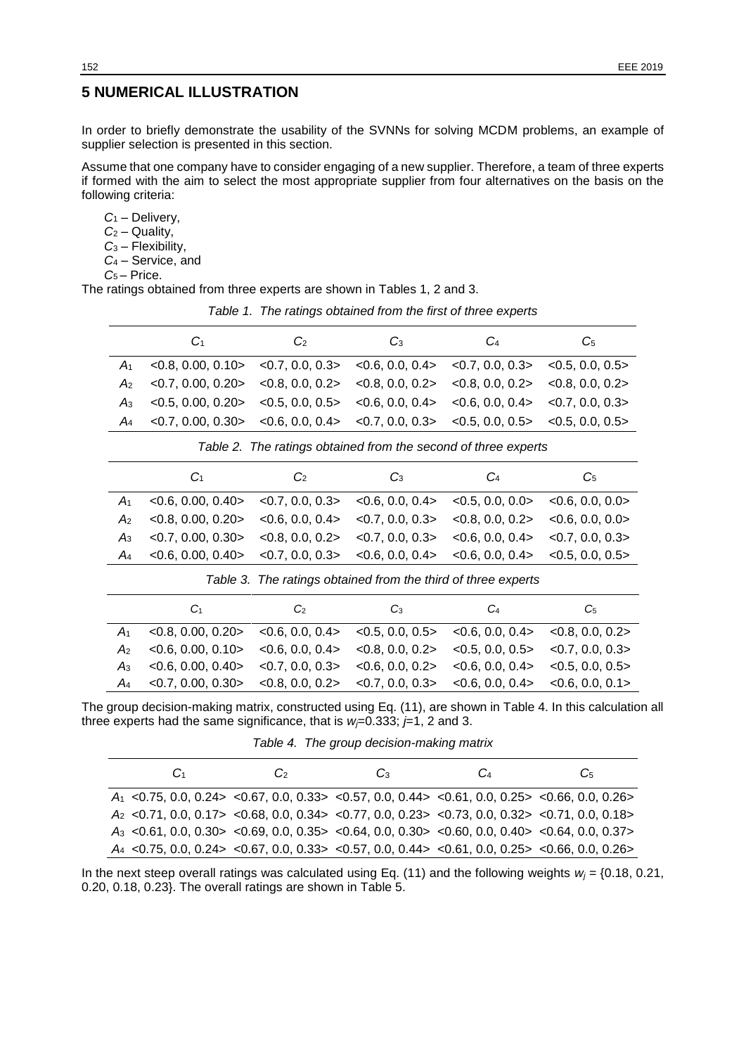### **5 NUMERICAL ILLUSTRATION**

In order to briefly demonstrate the usability of the SVNNs for solving MCDM problems, an example of supplier selection is presented in this section.

Assume that one company have to consider engaging of a new supplier. Therefore, a team of three experts if formed with the aim to select the most appropriate supplier from four alternatives on the basis on the following criteria:

*C*<sup>1</sup> – Delivery, *C*<sup>2</sup> – Quality, *C*<sup>3</sup> – Flexibility, *C*<sup>4</sup> – Service, and *C*5 – Price.

The ratings obtained from three experts are shown in Tables 1, 2 and 3.

*Table 1. The ratings obtained from the first of three experts*

| G <sub>1</sub>                                                                                  | $\omega$ | C <sub>3</sub> | C <sub>4</sub> | C5 |
|-------------------------------------------------------------------------------------------------|----------|----------------|----------------|----|
| $A_1$ <0.8, 0.00, 0.10> <0.7, 0.0, 0.3> <0.6, 0.0, 0.4> <0.7, 0.0, 0.3> <0.5, 0.0, 0.5>         |          |                |                |    |
| $A_2$ <0.7, 0.00, 0.20> <0.8, 0.0, 0.2> <0.8, 0.0, 0.2> <0.8, 0.0, 0.2> <0.8, 0.0, 0.2>         |          |                |                |    |
| $A_3$ <0.5, 0.00, 0.20> <0.5, 0.0, 0.5> <0.6, 0.0, 0.4> <0.6, 0.0, 0.4> <0.7, 0.0, 0.3>         |          |                |                |    |
| $A_4$ < 0.7, 0.00, 0.30 < 0.6, 0.0, 0.4 > < 0.7, 0.0, 0.3 > < 0.5, 0.0, 0.5 > < 0.5, 0.0, 0.5 > |          |                |                |    |

*Table 2. The ratings obtained from the second of three experts*

|                | C <sub>1</sub>                                                                                                                                                    | $\mathcal{C}$ | $C_3$ | C <sub>4</sub> | C <sub>5</sub> |
|----------------|-------------------------------------------------------------------------------------------------------------------------------------------------------------------|---------------|-------|----------------|----------------|
| $A_1$          | $\langle 0.6, 0.00, 0.40 \rangle$ $\langle 0.7, 0.0, 0.3 \rangle$ $\langle 0.6, 0.0, 0.4 \rangle$ $\langle 0.5, 0.0, 0.0 \rangle$ $\langle 0.6, 0.0, 0.0 \rangle$ |               |       |                |                |
| A <sub>2</sub> | $\langle 0.8, 0.00, 0.20 \rangle$ $\langle 0.6, 0.0, 0.4 \rangle$ $\langle 0.7, 0.0, 0.3 \rangle$ $\langle 0.8, 0.0, 0.2 \rangle$ $\langle 0.6, 0.0, 0.0 \rangle$ |               |       |                |                |
|                | $A_3$ <0.7, 0.00, 0.30> <0.8, 0.0, 0.2> <0.7, 0.0, 0.3> <0.6, 0.0, 0.4> <0.7, 0.0, 0.3>                                                                           |               |       |                |                |
|                | $A_4$ <0.6, 0.00, 0.40> <0.7, 0.0, 0.3> <0.6, 0.0, 0.4> <0.6, 0.0, 0.4> <0.5, 0.0, 0.5>                                                                           |               |       |                |                |
|                |                                                                                                                                                                   |               |       |                |                |

*Table 3. The ratings obtained from the third of three experts*

| C1                                                                                                | C <sub>2</sub> | C <sub>3</sub> | C4 | C5 |
|---------------------------------------------------------------------------------------------------|----------------|----------------|----|----|
| $A_1$ <0.8, 0.00, 0.20> <0.6, 0.0, 0.4> <0.5, 0.0, 0.5> <0.6, 0.0, 0.4> <0.8, 0.0, 0.2>           |                |                |    |    |
| $A_2$ <0.6, 0.00, 0.10> <0.6, 0.0, 0.4> <0.8, 0.0, 0.2> <0.5, 0.0, 0.5> <0.7, 0.0, 0.3>           |                |                |    |    |
| $A_3$ < 0.6, 0.00, 0.40 > < 0.7, 0.0, 0.3 > < 0.6, 0.0, 0.2 > < 0.6, 0.0, 0.4 > < 0.5, 0.0, 0.5 > |                |                |    |    |
| $A_4$ <0.7, 0.00, 0.30> <0.8, 0.0, 0.2> <0.7, 0.0, 0.3> <0.6, 0.0, 0.4> <0.6, 0.0, 0.1>           |                |                |    |    |

The group decision-making matrix, constructed using Eq. (11), are shown in Table 4. In this calculation all three experts had the same significance, that is  $w=0.333$ ;  $\neq$  1, 2 and 3.

*Table 4. The group decision-making matrix* 

| G1 | $\mathfrak{c}$ | C <sub>3</sub>                                                                                            | $\mathfrak{c}_4$ | Cs. |
|----|----------------|-----------------------------------------------------------------------------------------------------------|------------------|-----|
|    |                | $A_1$ < 0.75, 0.0, 0.24 > < 0.67, 0.0, 0.33 > < 0.57, 0.0, 0.44 > < 0.61, 0.0, 0.25 > < 0.66, 0.0, 0.26 > |                  |     |
|    |                | $A_2$ < 0.71, 0.0, 0.17 > < 0.68, 0.0, 0.34 > < 0.77, 0.0, 0.23 > < 0.73, 0.0, 0.32 > < 0.71, 0.0, 0.18 > |                  |     |
|    |                | $A_3$ < 0.61, 0.0, 0.30 > < 0.69, 0.0, 0.35 > < 0.64, 0.0, 0.30 > < 0.60, 0.0, 0.40 > < 0.64, 0.0, 0.37 > |                  |     |
|    |                | $A_4$ < 0.75, 0.0, 0.24 > < 0.67, 0.0, 0.33 > < 0.57, 0.0, 0.44 > < 0.61, 0.0, 0.25 > < 0.66, 0.0, 0.26 > |                  |     |

In the next steep overall ratings was calculated using Eq. (11) and the following weights *w<sup>j</sup>* = {0.18, 0.21, 0.20, 0.18, 0.23}. The overall ratings are shown in Table 5.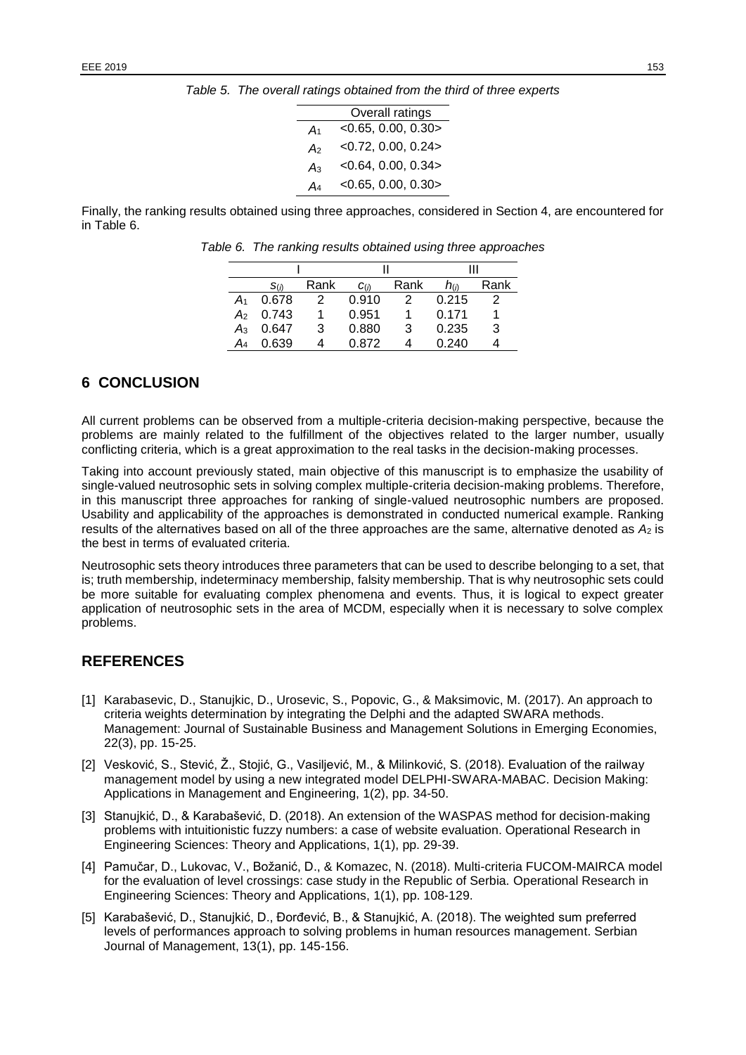*Table 5. The overall ratings obtained from the third of three experts*

|       | Overall ratings          |
|-------|--------------------------|
| $A_1$ | $<$ 0.65, 0.00, 0.30 $>$ |
| A2    | $<$ 0.72, 0.00, 0.24 >   |
| $A_3$ | $<$ 0.64, 0.00, 0.34 $>$ |
| A4    | $<$ 0.65, 0.00, 0.30 >   |

Finally, the ranking results obtained using three approaches, considered in Section 4, are encountered for in Table 6.

|       | S(n)  | Rank | C(i)  | Rank | $h_{(h)}$ | Rank |
|-------|-------|------|-------|------|-----------|------|
| A۱    | 0.678 | 2    | 0.910 | 2    | 0.215     |      |
| A2    | 0.743 |      | 0.951 |      | 0.171     |      |
| $A_3$ | 0.647 | 3    | 0.880 | 3    | 0.235     | 3    |
|       | 0.639 |      | በ ጸ72 |      | 0.240     |      |

*Table 6. The ranking results obtained using three approaches*

#### **6 CONCLUSION**

All current problems can be observed from a multiple-criteria decision-making perspective, because the problems are mainly related to the fulfillment of the objectives related to the larger number, usually conflicting criteria, which is a great approximation to the real tasks in the decision-making processes.

Taking into account previously stated, main objective of this manuscript is to emphasize the usability of single-valued neutrosophic sets in solving complex multiple-criteria decision-making problems. Therefore, in this manuscript three approaches for ranking of single-valued neutrosophic numbers are proposed. Usability and applicability of the approaches is demonstrated in conducted numerical example. Ranking results of the alternatives based on all of the three approaches are the same, alternative denoted as  $A_2$  is the best in terms of evaluated criteria.

Neutrosophic sets theory introduces three parameters that can be used to describe belonging to a set, that is; truth membership, indeterminacy membership, falsity membership. That is why neutrosophic sets could be more suitable for evaluating complex phenomena and events. Thus, it is logical to expect greater application of neutrosophic sets in the area of MCDM, especially when it is necessary to solve complex problems.

#### **REFERENCES**

- [1] Karabasevic, D., Stanujkic, D., Urosevic, S., Popovic, G., & Maksimovic, M. (2017). An approach to criteria weights determination by integrating the Delphi and the adapted SWARA methods. Management: Journal of Sustainable Business and Management Solutions in Emerging Economies, 22(3), pp. 15-25.
- [2] Vesković, S., Stević, Ž., Stojić, G., Vasiljević, M., & Milinković, S. (2018). Evaluation of the railway management model by using a new integrated model DELPHI-SWARA-MABAC. Decision Making: Applications in Management and Engineering, 1(2), pp. 34-50.
- [3] Stanujkić, D., & Karabašević, D. (2018). An extension of the WASPAS method for decision-making problems with intuitionistic fuzzy numbers: a case of website evaluation. Operational Research in Engineering Sciences: Theory and Applications, 1(1), pp. 29-39.
- [4] Pamučar, D., Lukovac, V., Božanić, D., & Komazec, N. (2018). Multi-criteria FUCOM-MAIRCA model for the evaluation of level crossings: case study in the Republic of Serbia. Operational Research in Engineering Sciences: Theory and Applications, 1(1), pp. 108-129.
- [5] Karabašević, D., Stanujkić, D., Đorđević, B., & Stanujkić, A. (2018). The weighted sum preferred levels of performances approach to solving problems in human resources management. Serbian Journal of Management, 13(1), pp. 145-156.